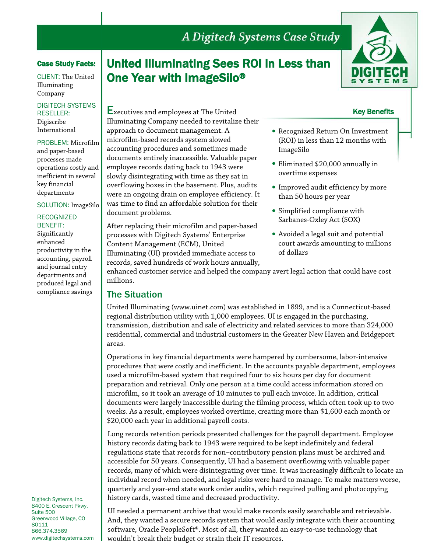# A Digitech Systems Case Study

### Case Study Facts:

CLIENT: The United Illuminating Company

DIGITECH SYSTEMS RESELLER: Digiscribe International

PROBLEM: Microfilm and paper-based processes made operations costly and inefficient in several key financial departments

#### SOLUTION: ImageSilo

#### RECOGNIZED BENEFIT:

Significantly enhanced productivity in the accounting, payroll and journal entry departments and produced legal and compliance savings

Digitech Systems, Inc. 8400 E. Crescent Pkwy, Suite 500 Greenwood Village, CO 80111 866.374.3569 www.digitechsystems.com

# United Illuminating Sees ROI in Less than One Year with ImageSilo®

Executives and employees at The United

approach to document management. A microfilm-based records system slowed accounting procedures and sometimes made documents entirely inaccessible. Valuable paper employee records dating back to 1943 were slowly disintegrating with time as they sat in overflowing boxes in the basement. Plus, audits were an ongoing drain on employee efficiency. It was time to find an affordable solution for their

Illuminating Company needed to revitalize their

After replacing their microfilm and paper-based processes with Digitech Systems' Enterprise

Illuminating (UI) provided immediate access to records, saved hundreds of work hours annually,

Content Management (ECM), United



### Key Benefits

- Recognized Return On Investment (ROI) in less than 12 months with ImageSilo
- Eliminated \$20,000 annually in overtime expenses
- Improved audit efficiency by more than 50 hours per year
- Simplified compliance with Sarbanes-Oxley Act (SOX)
- Avoided a legal suit and potential court awards amounting to millions of dollars

enhanced customer service and helped the company avert legal action that could have cost millions.

## The Situation

document problems.

United Illuminating [\(www.uinet.com](http://www.uinet.com/)) was established in 1899, and is a Connecticut-based regional distribution utility with 1,000 employees. UI is engaged in the purchasing, transmission, distribution and sale of electricity and related services to more than 324,000 residential, commercial and industrial customers in the Greater New Haven and Bridgeport areas.

Operations in key financial departments were hampered by cumbersome, labor-intensive procedures that were costly and inefficient. In the accounts payable department, employees used a microfilm-based system that required four to six hours per day for document preparation and retrieval. Only one person at a time could access information stored on microfilm, so it took an average of 10 minutes to pull each invoice. In addition, critical documents were largely inaccessible during the filming process, which often took up to two weeks. As a result, employees worked overtime, creating more than \$1,600 each month or \$20,000 each year in additional payroll costs.

Long records retention periods presented challenges for the payroll department. Employee history records dating back to 1943 were required to be kept indefinitely and federal regulations state that records for non–contributory pension plans must be archived and accessible for 50 years. Consequently, UI had a basement overflowing with valuable paper records, many of which were disintegrating over time. It was increasingly difficult to locate an individual record when needed, and legal risks were hard to manage. To make matters worse, quarterly and year-end state work order audits, which required pulling and photocopying history cards, wasted time and decreased productivity.

UI needed a permanent archive that would make records easily searchable and retrievable. And, they wanted a secure records system that would easily integrate with their accounting software, Oracle PeopleSoft®. Most of all, they wanted an easy-to-use technology that wouldn't break their budget or strain their IT resources.